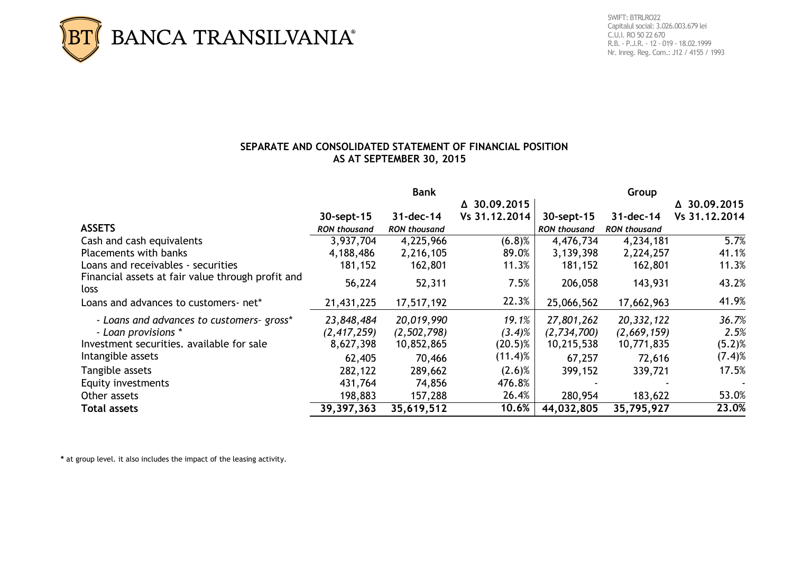

## **SEPARATE AND CONSOLIDATED STATEMENT OF FINANCIAL POSITION AS AT SEPTEMBER 30, 2015**

|                                                           | <b>Bank</b>         |                     |               | Group               |                     |               |  |
|-----------------------------------------------------------|---------------------|---------------------|---------------|---------------------|---------------------|---------------|--|
|                                                           |                     |                     | △ 30.09.2015  |                     |                     | △ 30.09.2015  |  |
|                                                           | 30-sept-15          | $31$ -dec-14        | Vs 31.12.2014 | 30-sept-15          | $31$ -dec-14        | Vs 31.12.2014 |  |
| <b>ASSETS</b>                                             | <b>RON thousand</b> | <b>RON thousand</b> |               | <b>RON thousand</b> | <b>RON thousand</b> |               |  |
| Cash and cash equivalents                                 | 3,937,704           | 4,225,966           | $(6.8)$ %     | 4,476,734           | 4,234,181           | 5.7%          |  |
| Placements with banks                                     | 4,188,486           | 2,216,105           | 89.0%         | 3,139,398           | 2,224,257           | 41.1%         |  |
| Loans and receivables - securities                        | 181,152             | 162,801             | 11.3%         | 181,152             | 162,801             | 11.3%         |  |
| Financial assets at fair value through profit and<br>loss | 56,224              | 52,311              | 7.5%          | 206,058             | 143,931             | 43.2%         |  |
| Loans and advances to customers- net*                     | 21,431,225          | 17,517,192          | 22.3%         | 25,066,562          | 17,662,963          | 41.9%         |  |
| - Loans and advances to customers-gross*                  | 23,848,484          | 20,019,990          | 19.1%         | 27,801,262          | 20,332,122          | 36.7%         |  |
| - Loan provisions *                                       | (2,417,259)         | (2, 502, 798)       | (3.4)%        | (2,734,700)         | (2,669,159)         | 2.5%          |  |
| Investment securities, available for sale                 | 8,627,398           | 10,852,865          | $(20.5)\%$    | 10,215,538          | 10,771,835          | $(5.2)$ %     |  |
| Intangible assets                                         | 62,405              | 70,466              | $(11.4)$ %    | 67,257              | 72,616              | $(7.4)$ %     |  |
| Tangible assets                                           | 282,122             | 289,662             | $(2.6)$ %     | 399,152             | 339,721             | 17.5%         |  |
| Equity investments                                        | 431,764             | 74,856              | 476.8%        |                     |                     |               |  |
| Other assets                                              | 198,883             | 157,288             | 26.4%         | 280,954             | 183,622             | 53.0%         |  |
| Total assets                                              | 39,397,363          | 35,619,512          | 10.6%         | 44,032,805          | 35,795,927          | 23.0%         |  |

**\*** at group level. it also includes the impact of the leasing activity.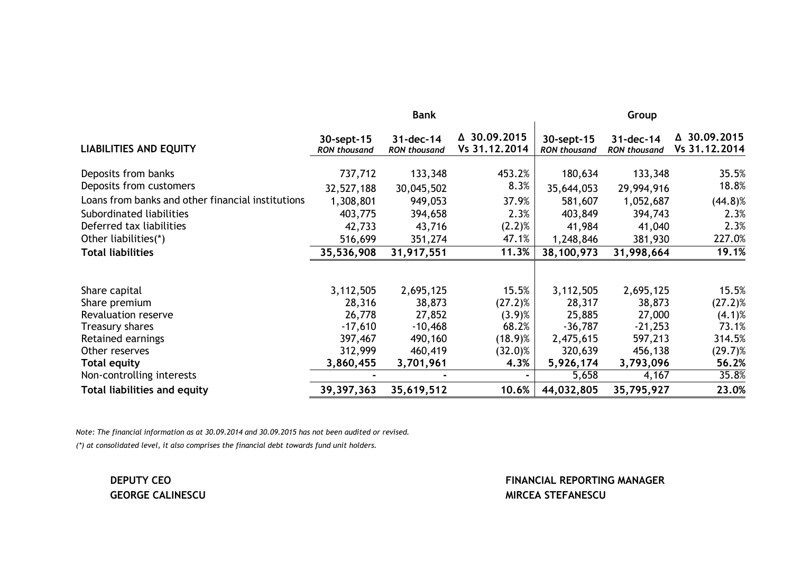|                                                   | <b>Bank</b>                       |                                  |                               | Group                             |                                  |                               |
|---------------------------------------------------|-----------------------------------|----------------------------------|-------------------------------|-----------------------------------|----------------------------------|-------------------------------|
| <b>LIABILITIES AND EQUITY</b>                     | 30-sept-15<br><b>RON thousand</b> | 31-dec-14<br><b>RON thousand</b> | △ 30.09.2015<br>Vs 31.12.2014 | 30-sept-15<br><b>RON thousand</b> | 31-dec-14<br><b>RON thousand</b> | △ 30.09.2015<br>Vs 31.12.2014 |
| Deposits from banks                               | 737,712                           | 133,348                          | 453.2%                        | 180,634                           | 133,348                          | 35.5%                         |
| Deposits from customers                           | 32,527,188                        | 30,045,502                       | 8.3%                          | 35,644,053                        | 29,994,916                       | 18.8%                         |
| Loans from banks and other financial institutions | 1,308,801                         | 949,053                          | 37.9%                         | 581,607                           | 1,052,687                        | $(44.8)\%$                    |
| Subordinated liabilities                          | 403,775                           | 394,658                          | 2.3%                          | 403,849                           | 394,743                          | 2.3%                          |
| Deferred tax liabilities                          | 42,733                            | 43,716                           | $(2.2)$ %                     | 41,984                            | 41,040                           | 2.3%                          |
| Other liabilities(*)                              | 516,699                           | 351,274                          | 47.1%                         | 1,248,846                         | 381,930                          | 227.0%                        |
| <b>Total liabilities</b>                          | 35,536,908                        | 31,917,551                       | 11.3%                         | 38,100,973                        | 31,998,664                       | 19.1%                         |
| Share capital                                     | 3,112,505                         | 2,695,125                        | 15.5%                         | 3,112,505                         | 2,695,125                        | 15.5%                         |
| Share premium                                     | 28,316                            | 38,873                           | $(27.2)$ %                    | 28,317                            | 38,873                           | $(27.2)$ %                    |
| Revaluation reserve                               | 26,778                            | 27,852                           | $(3.9)$ %                     | 25,885                            | 27,000                           | $(4.1)$ %                     |
| Treasury shares                                   | $-17,610$                         | $-10,468$                        | 68.2%                         | $-36,787$                         | $-21,253$                        | 73.1%                         |
| Retained earnings                                 | 397,467                           | 490,160                          | $(18.9)$ %                    | 2,475,615                         | 597,213                          | 314.5%                        |
| Other reserves                                    | 312,999                           | 460,419                          | $(32.0)$ %                    | 320,639                           | 456,138                          | $(29.7)\%$                    |
| <b>Total equity</b>                               | 3,860,455                         | 3,701,961                        | 4.3%                          | 5,926,174                         | 3,793,096                        | 56.2%                         |
| Non-controlling interests                         |                                   |                                  | $\blacksquare$                | 5,658                             | 4,167                            | 35.8%                         |
| <b>Total liabilities and equity</b>               | 39, 397, 363                      | 35,619,512                       | 10.6%                         | 44,032,805                        | 35,795,927                       | 23.0%                         |

*Note: The financial information as at 30.09.2014 and 30.09.2015 has not been audited or revised.*

*(\*) at consolidated level, it also comprises the financial debt towards fund unit holders.*

**DEPUTY CEO FINANCIAL REPORTING MANAGER GEORGE CALINESCU MIRCEA STEFANESCU**